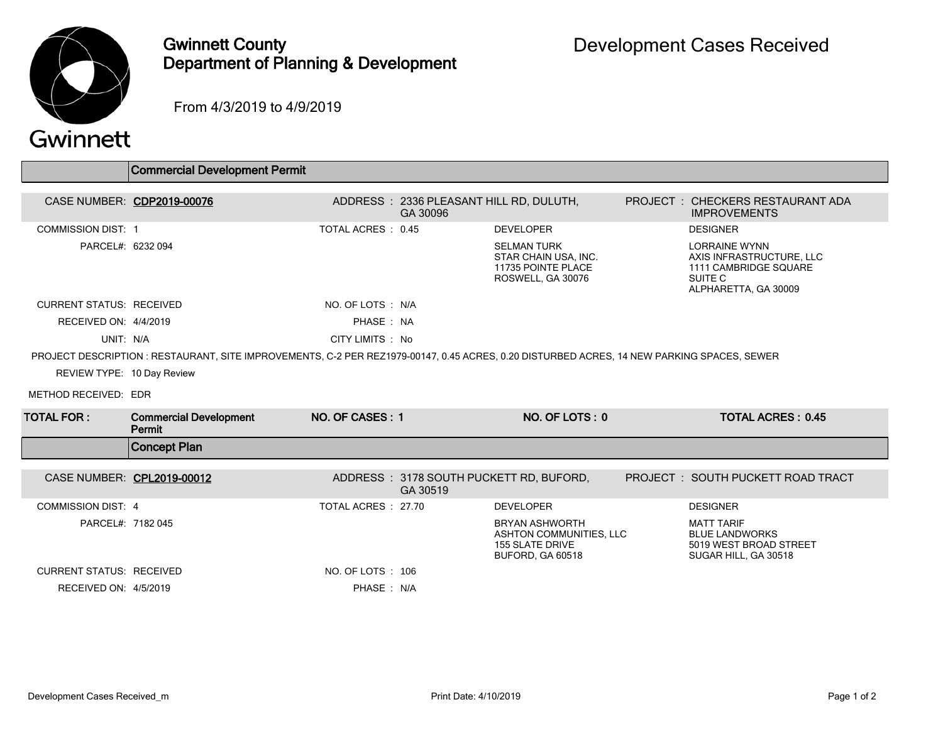

## Gwinnett County Department of Planning & Development

From 4/3/2019 to 4/9/2019

## Gwinnett

|                                 | Commercial Development Permit                                                                                                              |                     |                                                     |                                                                                                       |                                                                                                              |  |
|---------------------------------|--------------------------------------------------------------------------------------------------------------------------------------------|---------------------|-----------------------------------------------------|-------------------------------------------------------------------------------------------------------|--------------------------------------------------------------------------------------------------------------|--|
|                                 |                                                                                                                                            |                     |                                                     |                                                                                                       |                                                                                                              |  |
|                                 | CASE NUMBER: CDP2019-00076                                                                                                                 |                     | ADDRESS: 2336 PLEASANT HILL RD, DULUTH,<br>GA 30096 |                                                                                                       | PROJECT: CHECKERS RESTAURANT ADA<br><b>IMPROVEMENTS</b>                                                      |  |
| <b>COMMISSION DIST: 1</b>       |                                                                                                                                            | TOTAL ACRES: 0.45   |                                                     | <b>DEVELOPER</b>                                                                                      | <b>DESIGNER</b>                                                                                              |  |
| PARCEL#: 6232 094               |                                                                                                                                            |                     |                                                     | <b>SELMAN TURK</b><br>STAR CHAIN USA, INC.<br>11735 POINTE PLACE<br>ROSWELL, GA 30076                 | <b>LORRAINE WYNN</b><br>AXIS INFRASTRUCTURE, LLC<br>1111 CAMBRIDGE SQUARE<br>SUITE C<br>ALPHARETTA, GA 30009 |  |
| <b>CURRENT STATUS: RECEIVED</b> |                                                                                                                                            | NO. OF LOTS : N/A   |                                                     |                                                                                                       |                                                                                                              |  |
| RECEIVED ON: 4/4/2019           |                                                                                                                                            | PHASE: NA           |                                                     |                                                                                                       |                                                                                                              |  |
| UNIT: N/A                       |                                                                                                                                            | CITY LIMITS : No    |                                                     |                                                                                                       |                                                                                                              |  |
|                                 | PROJECT DESCRIPTION : RESTAURANT, SITE IMPROVEMENTS, C-2 PER REZ1979-00147, 0.45 ACRES, 0.20 DISTURBED ACRES, 14 NEW PARKING SPACES, SEWER |                     |                                                     |                                                                                                       |                                                                                                              |  |
| REVIEW TYPE: 10 Day Review      |                                                                                                                                            |                     |                                                     |                                                                                                       |                                                                                                              |  |
| METHOD RECEIVED: EDR            |                                                                                                                                            |                     |                                                     |                                                                                                       |                                                                                                              |  |
| <b>TOTAL FOR :</b>              | <b>Commercial Development</b><br>Permit                                                                                                    | NO. OF CASES: 1     |                                                     | NO. OF LOTS: 0                                                                                        | <b>TOTAL ACRES: 0.45</b>                                                                                     |  |
|                                 | <b>Concept Plan</b>                                                                                                                        |                     |                                                     |                                                                                                       |                                                                                                              |  |
| CASE NUMBER: CPL2019-00012      |                                                                                                                                            |                     | GA 30519                                            | ADDRESS: 3178 SOUTH PUCKETT RD, BUFORD,                                                               | PROJECT: SOUTH PUCKETT ROAD TRACT                                                                            |  |
| <b>COMMISSION DIST: 4</b>       |                                                                                                                                            | TOTAL ACRES : 27.70 |                                                     | <b>DEVELOPER</b>                                                                                      | <b>DESIGNER</b>                                                                                              |  |
| PARCEL#: 7182 045               |                                                                                                                                            |                     |                                                     | <b>BRYAN ASHWORTH</b><br>ASHTON COMMUNITIES. LLC<br><b>155 SLATE DRIVE</b><br><b>BUFORD, GA 60518</b> | <b>MATT TARIF</b><br><b>BLUE LANDWORKS</b><br>5019 WEST BROAD STREET<br>SUGAR HILL, GA 30518                 |  |
| <b>CURRENT STATUS: RECEIVED</b> |                                                                                                                                            | NO. OF LOTS: 106    |                                                     |                                                                                                       |                                                                                                              |  |
| RECEIVED ON: 4/5/2019           |                                                                                                                                            | PHASE: N/A          |                                                     |                                                                                                       |                                                                                                              |  |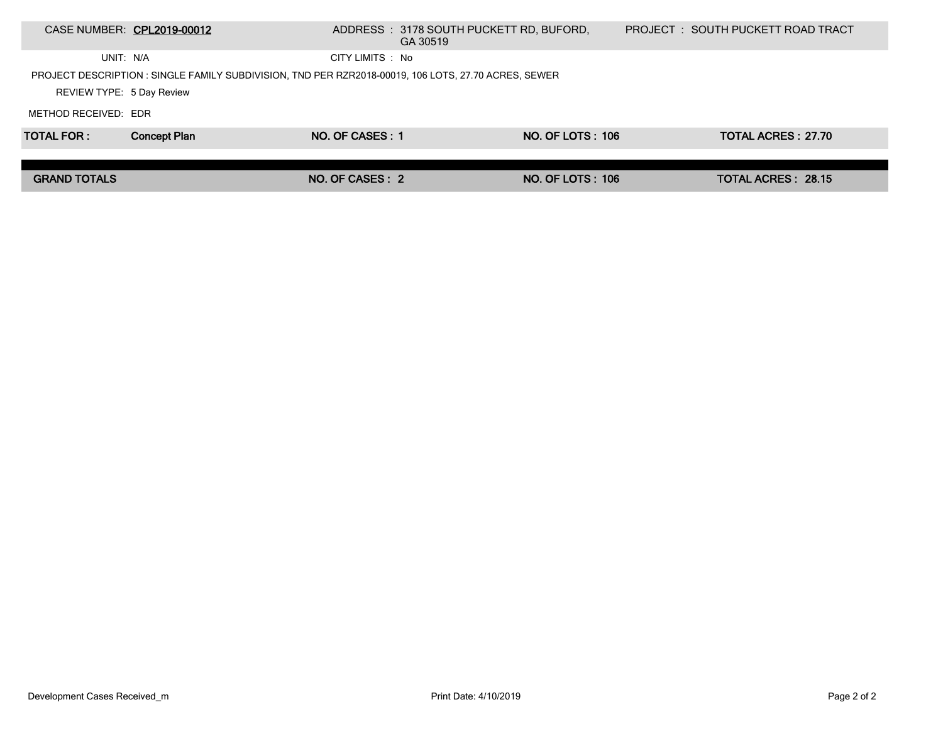|                                                                                                      | CASE NUMBER: CPL2019-00012 |                  | ADDRESS : 3178 SOUTH PUCKETT RD, BUFORD,<br>GA 30519 |                         |  | PROJECT : SOUTH PUCKETT ROAD TRACT |  |
|------------------------------------------------------------------------------------------------------|----------------------------|------------------|------------------------------------------------------|-------------------------|--|------------------------------------|--|
| UNIT: N/A                                                                                            |                            | CITY LIMITS : No |                                                      |                         |  |                                    |  |
| PROJECT DESCRIPTION : SINGLE FAMILY SUBDIVISION, TND PER RZR2018-00019, 106 LOTS, 27.70 ACRES, SEWER |                            |                  |                                                      |                         |  |                                    |  |
| REVIEW TYPE: 5 Day Review                                                                            |                            |                  |                                                      |                         |  |                                    |  |
| METHOD RECEIVED: EDR                                                                                 |                            |                  |                                                      |                         |  |                                    |  |
| <b>TOTAL FOR:</b>                                                                                    | <b>Concept Plan</b>        | NO. OF CASES: 1  |                                                      | NO. OF LOTS: 106        |  | TOTAL ACRES: 27.70                 |  |
|                                                                                                      |                            |                  |                                                      |                         |  |                                    |  |
| <b>GRAND TOTALS</b>                                                                                  |                            | NO. OF CASES: 2  |                                                      | <b>NO. OF LOTS: 106</b> |  | <b>TOTAL ACRES: 28.15</b>          |  |
|                                                                                                      |                            |                  |                                                      |                         |  |                                    |  |